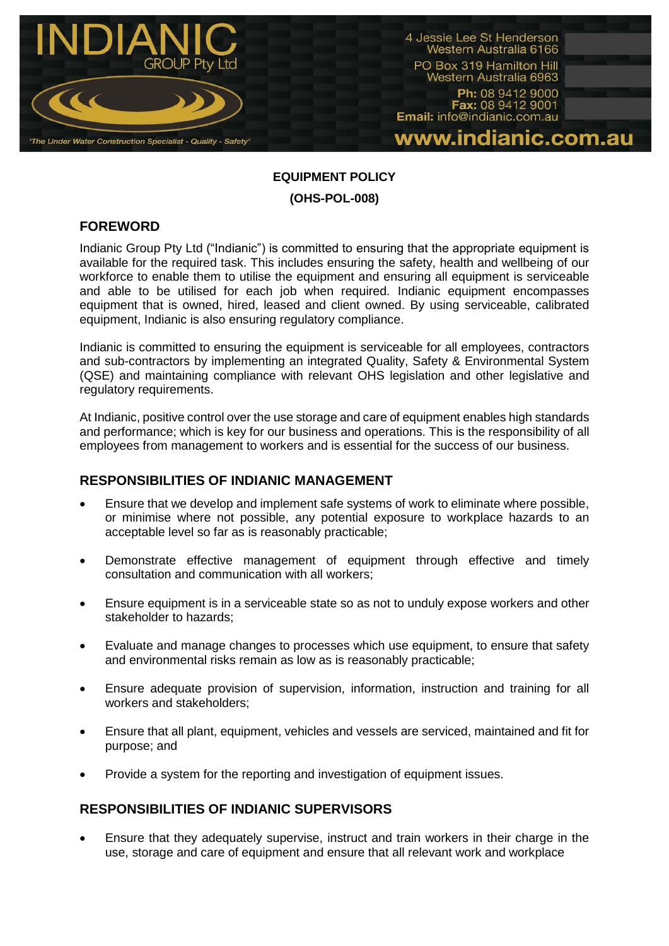

# **EQUIPMENT POLICY (OHS-POL-008)**

# **FOREWORD**

Indianic Group Pty Ltd ("Indianic") is committed to ensuring that the appropriate equipment is available for the required task. This includes ensuring the safety, health and wellbeing of our workforce to enable them to utilise the equipment and ensuring all equipment is serviceable and able to be utilised for each job when required. Indianic equipment encompasses equipment that is owned, hired, leased and client owned. By using serviceable, calibrated equipment, Indianic is also ensuring regulatory compliance.

Indianic is committed to ensuring the equipment is serviceable for all employees, contractors and sub-contractors by implementing an integrated Quality, Safety & Environmental System (QSE) and maintaining compliance with relevant OHS legislation and other legislative and regulatory requirements.

At Indianic, positive control over the use storage and care of equipment enables high standards and performance; which is key for our business and operations. This is the responsibility of all employees from management to workers and is essential for the success of our business.

## **RESPONSIBILITIES OF INDIANIC MANAGEMENT**

- Ensure that we develop and implement safe systems of work to eliminate where possible, or minimise where not possible, any potential exposure to workplace hazards to an acceptable level so far as is reasonably practicable;
- Demonstrate effective management of equipment through effective and timely consultation and communication with all workers;
- Ensure equipment is in a serviceable state so as not to unduly expose workers and other stakeholder to hazards;
- Evaluate and manage changes to processes which use equipment, to ensure that safety and environmental risks remain as low as is reasonably practicable;
- Ensure adequate provision of supervision, information, instruction and training for all workers and stakeholders;
- Ensure that all plant, equipment, vehicles and vessels are serviced, maintained and fit for purpose; and
- Provide a system for the reporting and investigation of equipment issues.

## **RESPONSIBILITIES OF INDIANIC SUPERVISORS**

 Ensure that they adequately supervise, instruct and train workers in their charge in the use, storage and care of equipment and ensure that all relevant work and workplace